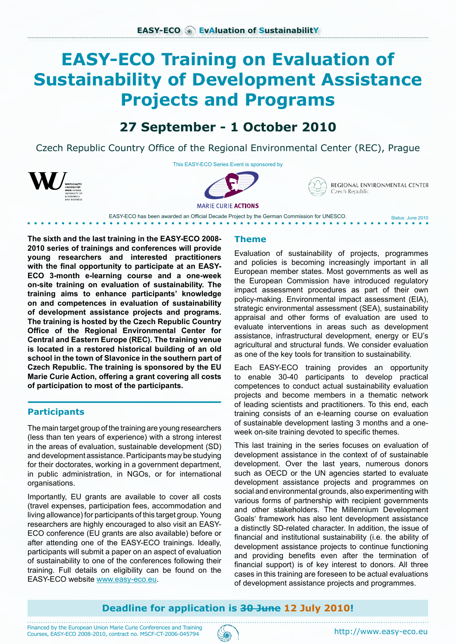# **EASY-ECO Training on Evaluation of Sustainability of Development Assistance Projects and Programs**

## **27 September - 1 October 2010**

Czech Republic Country Office of the Regional Environmental Center (REC), Prague



This EASY-ECO Series Event is sponsored by





REGIONAL ENVIRONMENTAL CENTER Czech Republic

Status: June 2010

**MARIE CURIE ACTIONS** EASY-ECO has been awarded an Official Decade Project by the German Commission for UNESCO.

**The sixth and the last training in the EASY-ECO 2008- 2010 series of trainings and conferences will provide young researchers and interested practitioners with the final opportunity to participate at an EASY-ECO 3-month e-learning course and a one-week on-site training on evaluation of sustainability. The training aims to enhance participants' knowledge on and competences in evaluation of sustainability of development assistance projects and programs. The training is hosted by the Czech Republic Country Office of the Regional Environmental Center for Central and Eastern Europe (REC). The training venue is located in a restored historical building of an old school in the town of Slavonice in the southern part of Czech Republic. The training is sponsored by the EU Marie Curie Action, offering a grant covering all costs of participation to most of the participants.**

## **Participants**

The main target group of the training are young researchers (less than ten years of experience) with a strong interest in the areas of evaluation, sustainable development (SD) and development assistance. Participants may be studying for their doctorates, working in a government department, in public administration, in NGOs, or for international organisations.

Importantly, EU grants are available to cover all costs (travel expenses, participation fees, accommodation and living allowance) for participants of this target group. Young researchers are highly encouraged to also visit an EASY-ECO conference (EU grants are also available) before or after attending one of the EASY-ECO trainings. Ideally, participants will submit a paper on an aspect of evaluation of sustainability to one of the conferences following their training. Full details on eligibility can be found on the EASY-ECO website [www.easy-eco.eu.](http://www.easy-eco.eu)

## **Theme**

Evaluation of sustainability of projects, programmes and policies is becoming increasingly important in all European member states. Most governments as well as the European Commission have introduced regulatory impact assessment procedures as part of their own policy-making. Environmental impact assessment (EIA), strategic environmental assessment (SEA), sustainability appraisal and other forms of evaluation are used to evaluate interventions in areas such as development assistance, infrastructural development, energy or EU's agricultural and structural funds. We consider evaluation as one of the key tools for transition to sustainability.

Each EASY-ECO training provides an opportunity to enable 30-40 participants to develop practical competences to conduct actual sustainability evaluation projects and become members in a thematic network of leading scientists and practitioners. To this end, each training consists of an e-learning course on evaluation of sustainable development lasting 3 months and a oneweek on-site training devoted to specific themes.

This last training in the series focuses on evaluation of development assistance in the context of of sustainable development. Over the last years, numerous donors such as OECD or the UN agencies started to evaluate development assistance projects and programmes on social and environmental grounds, also experimenting with various forms of partnership with recipient governments and other stakeholders. The Millennium Development Goals' framework has also lent development assistance a distinctly SD-related character. In addition, the issue of financial and institutional sustainability (i.e. the ability of development assistance projects to continue functioning and providing benefits even after the termination of financial support) is of key interest to donors. All three cases in this training are foreseen to be actual evaluations of development assistance projects and programmes.

## **Deadline for application is 30 June 12 July 2010!**

Financed by the European Union Marie Curie Conferences and Training Courses, EASY-ECO 2008-2010, contract no. MSCF-CT-2006-045794 (AM)